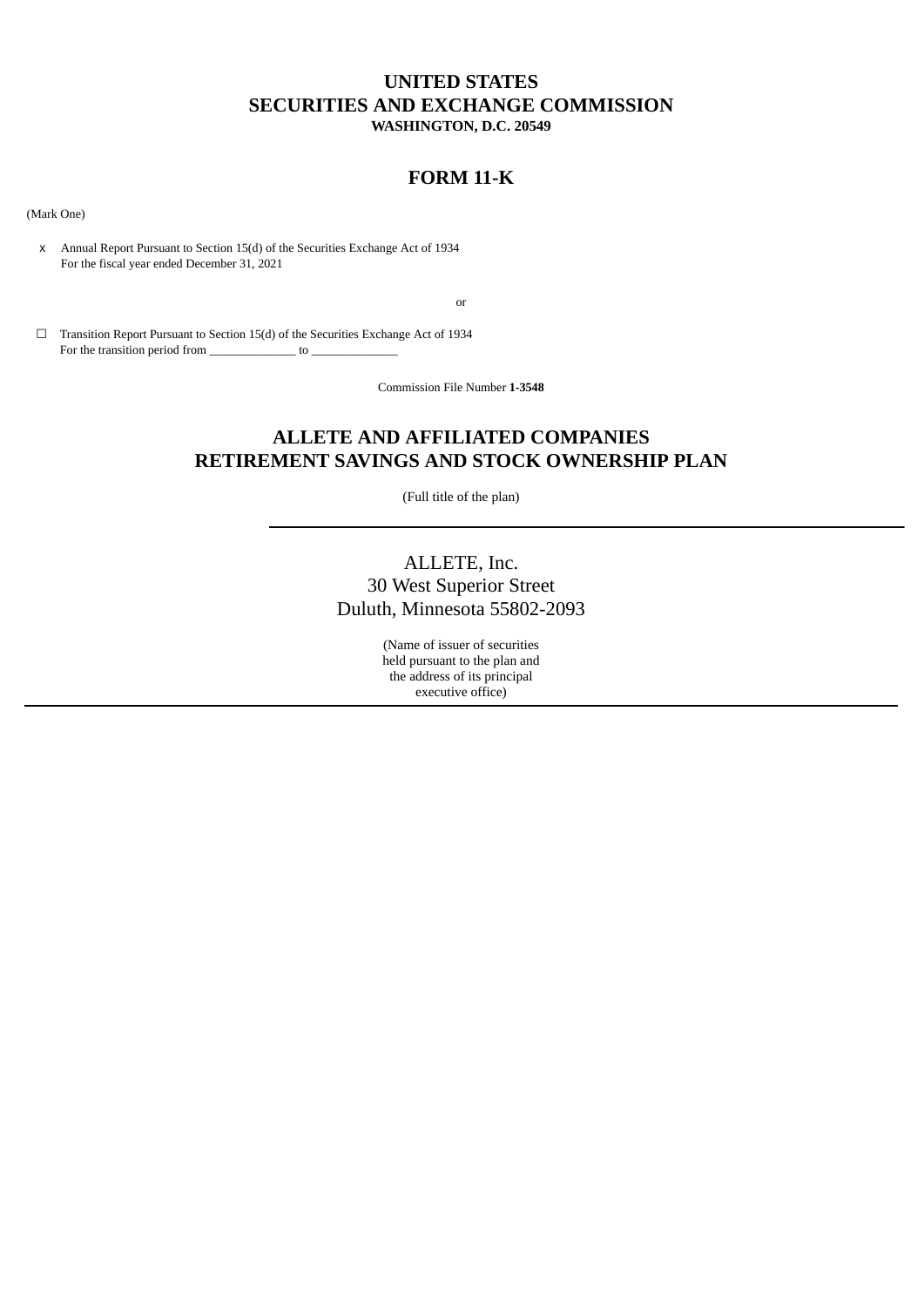# **UNITED STATES SECURITIES AND EXCHANGE COMMISSION WASHINGTON, D.C. 20549**

# **FORM 11-K**

(Mark One)

x Annual Report Pursuant to Section 15(d) of the Securities Exchange Act of 1934 For the fiscal year ended December 31, 2021

or

 $\Box$  Transition Report Pursuant to Section 15(d) of the Securities Exchange Act of 1934 For the transition period from  $\sim$ 

Commission File Number **1-3548**

# **ALLETE AND AFFILIATED COMPANIES RETIREMENT SAVINGS AND STOCK OWNERSHIP PLAN**

(Full title of the plan)

# ALLETE, Inc. 30 West Superior Street Duluth, Minnesota 55802-2093

(Name of issuer of securities held pursuant to the plan and the address of its principal executive office)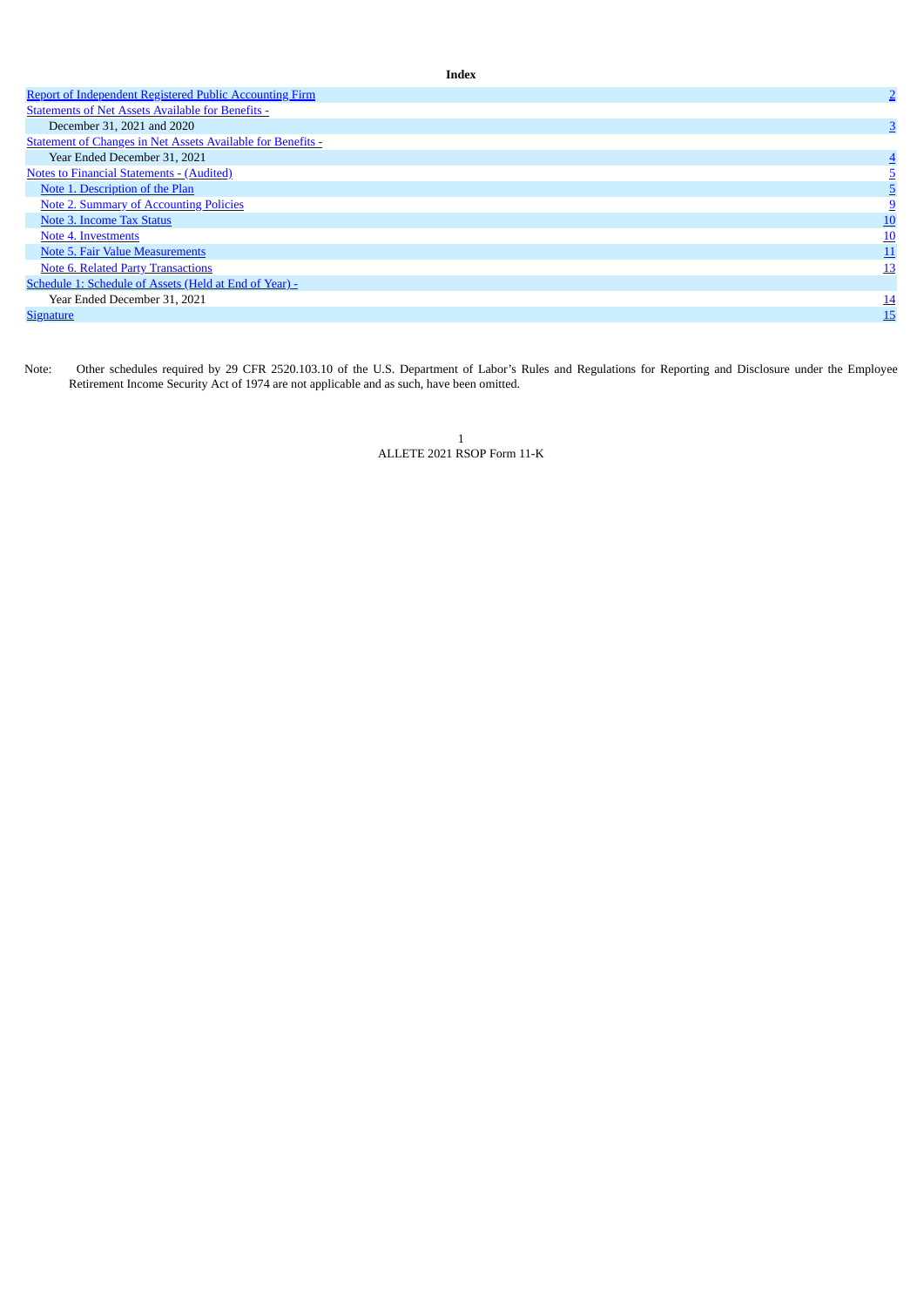| <b>Report of Independent Registered Public Accounting Firm</b>     | $\overline{2}$ |
|--------------------------------------------------------------------|----------------|
| <b>Statements of Net Assets Available for Benefits -</b>           |                |
| December 31, 2021 and 2020                                         | 3              |
| <b>Statement of Changes in Net Assets Available for Benefits -</b> |                |
| Year Ended December 31, 2021                                       |                |
| <b>Notes to Financial Statements - (Audited)</b>                   |                |
| Note 1. Description of the Plan                                    |                |
| <b>Note 2. Summary of Accounting Policies</b>                      |                |
| Note 3. Income Tax Status                                          | <u> 10</u>     |
| Note 4. Investments                                                | <u>10</u>      |
| Note 5. Fair Value Measurements                                    | 11             |
| <b>Note 6. Related Party Transactions</b>                          | <u> 13</u>     |
| Schedule 1: Schedule of Assets (Held at End of Year) -             |                |
| Year Ended December 31, 2021                                       | <u>14</u>      |
| <b>Signature</b>                                                   | 15             |

**Index**

<span id="page-1-0"></span>Note: Other schedules required by 29 CFR 2520.103.10 of the U.S. Department of Labor's Rules and Regulations for Reporting and Disclosure under the Employee Retirement Income Security Act of 1974 are not applicable and as such, have been omitted.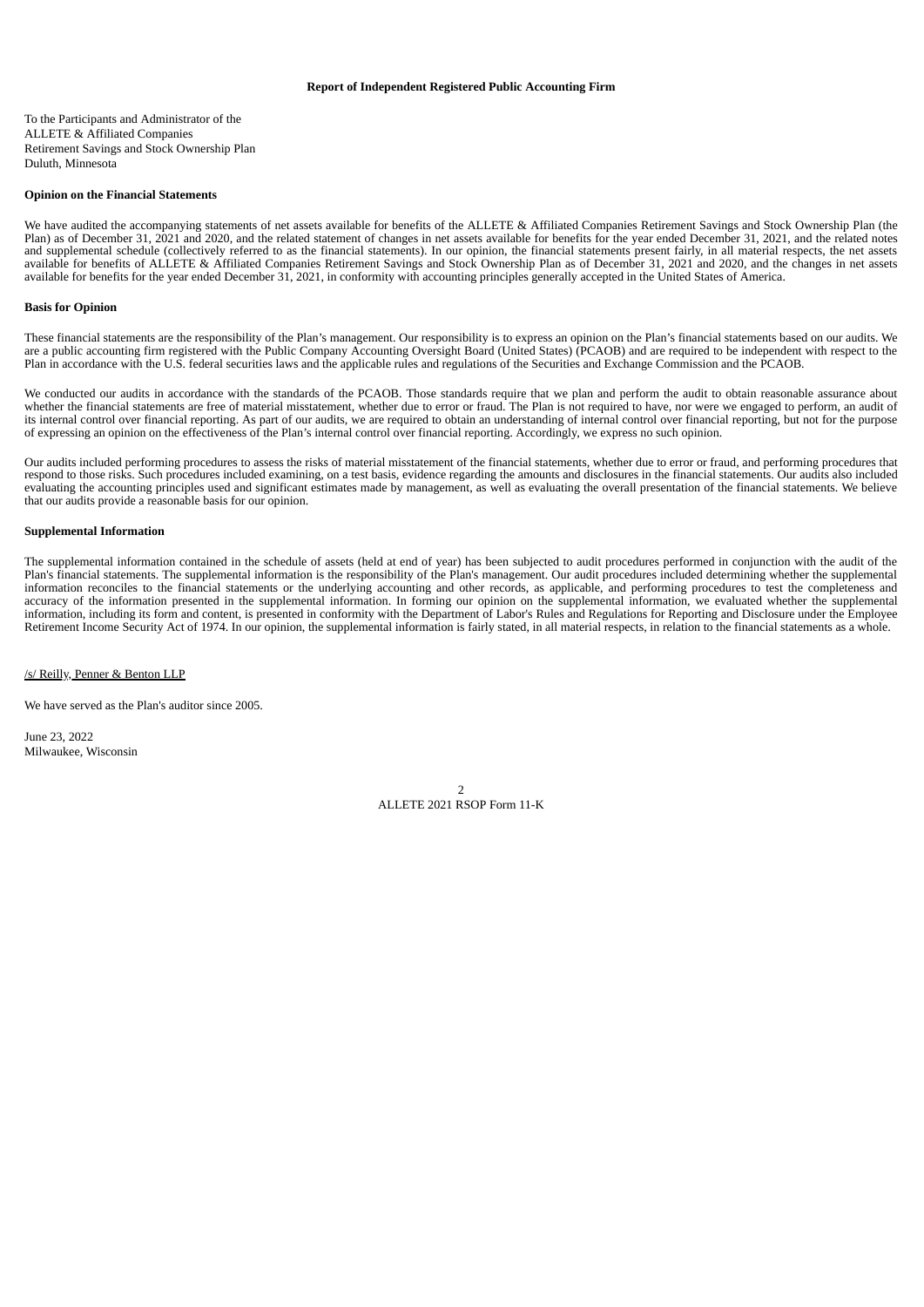## **Report of Independent Registered Public Accounting Firm**

To the Participants and Administrator of the ALLETE & Affiliated Companies Retirement Savings and Stock Ownership Plan Duluth, Minnesota

#### **Opinion on the Financial Statements**

We have audited the accompanying statements of net assets available for benefits of the ALLETE & Affiliated Companies Retirement Savings and Stock Ownership Plan (the Plan) as of December 31, 2021 and 2020, and the related statement of changes in net assets available for benefits for the year ended December 31, 2021, and the related notes and supplemental schedule (collectively referred to as the financial statements). In our opinion, the financial statements present fairly, in all material respects, the net assets available for benefits of ALLETE & Affiliated Companies Retirement Savings and Stock Ownership Plan as of December 31, 2021 and 2020, and the changes in net assets available for benefits for the year ended December 31, 2021, in conformity with accounting principles generally accepted in the United States of America.

#### **Basis for Opinion**

These financial statements are the responsibility of the Plan's management. Our responsibility is to express an opinion on the Plan's financial statements based on our audits. We are a public accounting firm registered with the Public Company Accounting Oversight Board (United States) (PCAOB) and are required to be independent with respect to the Plan in accordance with the U.S. federal securities laws and the applicable rules and regulations of the Securities and Exchange Commission and the PCAOB.

We conducted our audits in accordance with the standards of the PCAOB. Those standards require that we plan and perform the audit to obtain reasonable assurance about whether the financial statements are free of material misstatement, whether due to error or fraud. The Plan is not required to have, nor were we engaged to perform, an audit of its internal control over financial reporting. As part of our audits, we are required to obtain an understanding of internal control over financial reporting, but not for the purpose of expressing an opinion on the effectiveness of the Plan's internal control over financial reporting. Accordingly, we express no such opinion.

Our audits included performing procedures to assess the risks of material misstatement of the financial statements, whether due to error or fraud, and performing procedures that respond to those risks. Such procedures included examining, on a test basis, evidence regarding the amounts and disclosures in the financial statements. Our audits also included evaluating the accounting principles used and significant estimates made by management, as well as evaluating the overall presentation of the financial statements. We believe that our audits provide a reasonable basis for our opinion.

#### **Supplemental Information**

The supplemental information contained in the schedule of assets (held at end of year) has been subjected to audit procedures performed in conjunction with the audit of the Plan's financial statements. The supplemental information is the responsibility of the Plan's management. Our audit procedures included determining whether the supplemental information reconciles to the financial statements or the underlying accounting and other records, as applicable, and performing procedures to test the completeness and accuracy of the information presented in the supplemental information. In forming our opinion on the supplemental information, we evaluated whether the supplemental information, including its form and content, is presented in conformity with the Department of Labor's Rules and Regulations for Reporting and Disclosure under the Employee Retirement Income Security Act of 1974. In our opinion, the supplemental information is fairly stated, in all material respects, in relation to the financial statements as a whole.

/s/ Reilly, Penner & Benton LLP

We have served as the Plan's auditor since 2005.

<span id="page-2-0"></span>June 23, 2022 Milwaukee, Wisconsin

> $\overline{2}$ ALLETE 2021 RSOP Form 11-K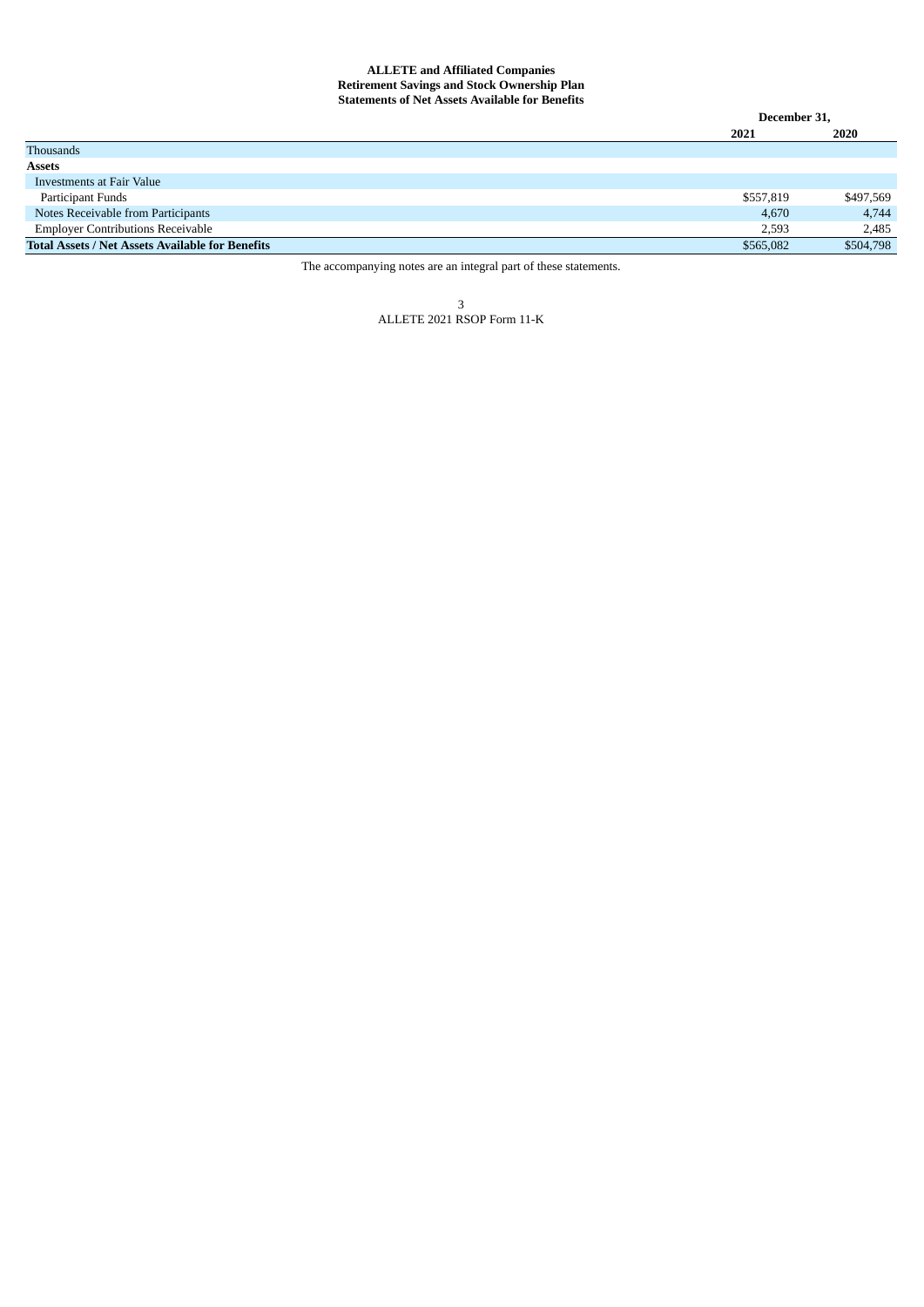## **ALLETE and Affiliated Companies Retirement Savings and Stock Ownership Plan Statements of Net Assets Available for Benefits**

<span id="page-3-0"></span>

|                                                         | December 31, |           |
|---------------------------------------------------------|--------------|-----------|
|                                                         | 2021         | 2020      |
| Thousands                                               |              |           |
| <b>Assets</b>                                           |              |           |
| Investments at Fair Value                               |              |           |
| Participant Funds                                       | \$557,819    | \$497,569 |
| Notes Receivable from Participants                      | 4,670        | 4,744     |
| <b>Employer Contributions Receivable</b>                | 2,593        | 2,485     |
| <b>Total Assets / Net Assets Available for Benefits</b> | \$565,082    | \$504,798 |

The accompanying notes are an integral part of these statements.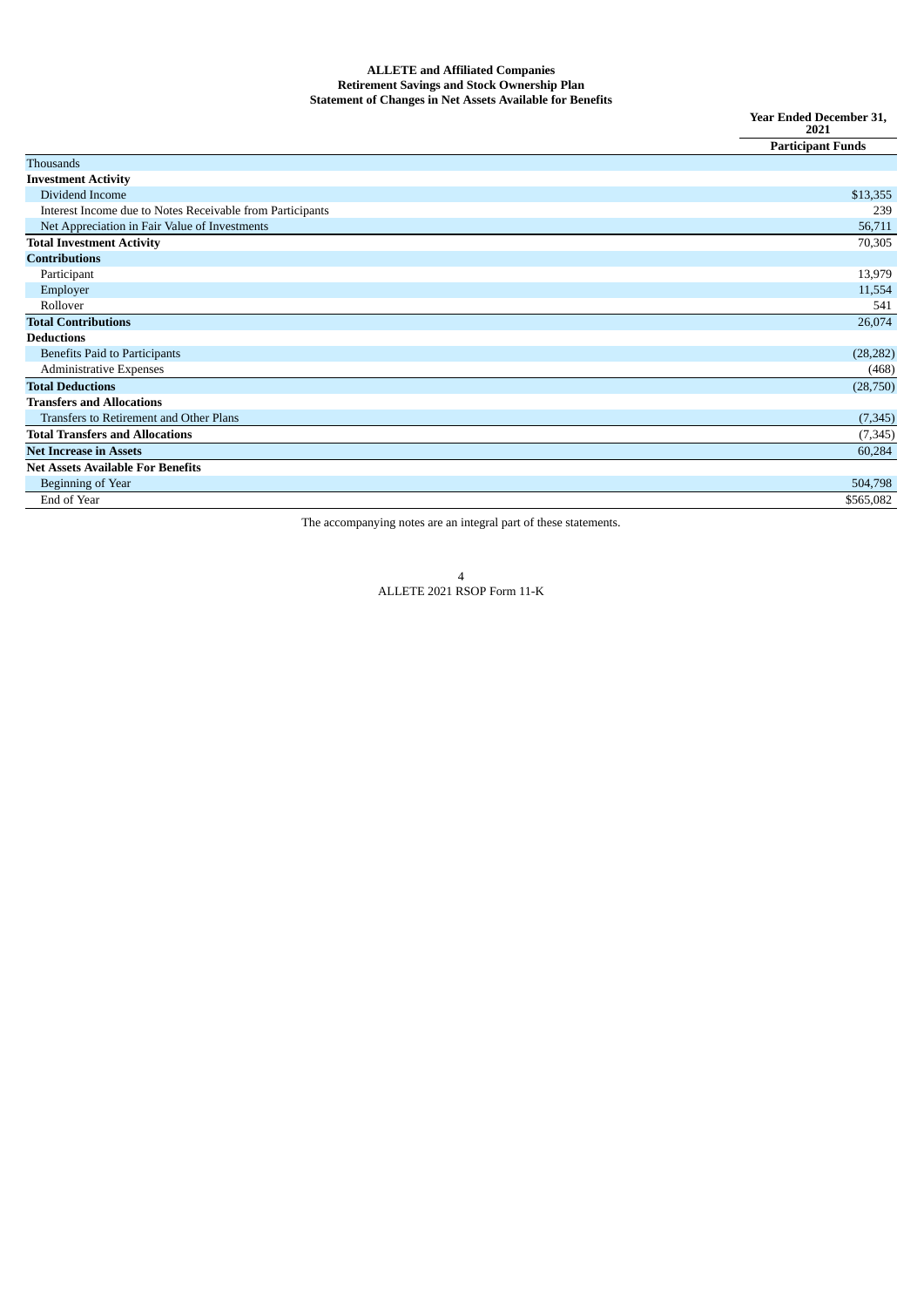### **ALLETE and Affiliated Companies Retirement Savings and Stock Ownership Plan Statement of Changes in Net Assets Available for Benefits**

**Year Ended December 31, 2021**

| <b>Thousands</b><br><b>Investment Activity</b><br>Dividend Income<br>\$13,355<br>Interest Income due to Notes Receivable from Participants<br>239<br>Net Appreciation in Fair Value of Investments<br>56,711<br><b>Total Investment Activity</b><br>70,305<br><b>Contributions</b><br>13,979<br>Participant<br>Employer<br>11,554<br>Rollover<br>541<br><b>Total Contributions</b><br>26,074<br><b>Deductions</b><br><b>Benefits Paid to Participants</b><br>(28, 282)<br><b>Administrative Expenses</b><br>(468)<br><b>Total Deductions</b><br>(28,750) |
|----------------------------------------------------------------------------------------------------------------------------------------------------------------------------------------------------------------------------------------------------------------------------------------------------------------------------------------------------------------------------------------------------------------------------------------------------------------------------------------------------------------------------------------------------------|
|                                                                                                                                                                                                                                                                                                                                                                                                                                                                                                                                                          |
|                                                                                                                                                                                                                                                                                                                                                                                                                                                                                                                                                          |
|                                                                                                                                                                                                                                                                                                                                                                                                                                                                                                                                                          |
|                                                                                                                                                                                                                                                                                                                                                                                                                                                                                                                                                          |
|                                                                                                                                                                                                                                                                                                                                                                                                                                                                                                                                                          |
|                                                                                                                                                                                                                                                                                                                                                                                                                                                                                                                                                          |
|                                                                                                                                                                                                                                                                                                                                                                                                                                                                                                                                                          |
|                                                                                                                                                                                                                                                                                                                                                                                                                                                                                                                                                          |
|                                                                                                                                                                                                                                                                                                                                                                                                                                                                                                                                                          |
|                                                                                                                                                                                                                                                                                                                                                                                                                                                                                                                                                          |
|                                                                                                                                                                                                                                                                                                                                                                                                                                                                                                                                                          |
|                                                                                                                                                                                                                                                                                                                                                                                                                                                                                                                                                          |
|                                                                                                                                                                                                                                                                                                                                                                                                                                                                                                                                                          |
|                                                                                                                                                                                                                                                                                                                                                                                                                                                                                                                                                          |
|                                                                                                                                                                                                                                                                                                                                                                                                                                                                                                                                                          |
| <b>Transfers and Allocations</b>                                                                                                                                                                                                                                                                                                                                                                                                                                                                                                                         |
| Transfers to Retirement and Other Plans<br>(7, 345)                                                                                                                                                                                                                                                                                                                                                                                                                                                                                                      |
| <b>Total Transfers and Allocations</b><br>(7, 345)                                                                                                                                                                                                                                                                                                                                                                                                                                                                                                       |
| <b>Net Increase in Assets</b><br>60,284                                                                                                                                                                                                                                                                                                                                                                                                                                                                                                                  |
| <b>Net Assets Available For Benefits</b>                                                                                                                                                                                                                                                                                                                                                                                                                                                                                                                 |
| <b>Beginning of Year</b><br>504,798                                                                                                                                                                                                                                                                                                                                                                                                                                                                                                                      |
| End of Year<br>\$565,082                                                                                                                                                                                                                                                                                                                                                                                                                                                                                                                                 |

<span id="page-4-0"></span>The accompanying notes are an integral part of these statements.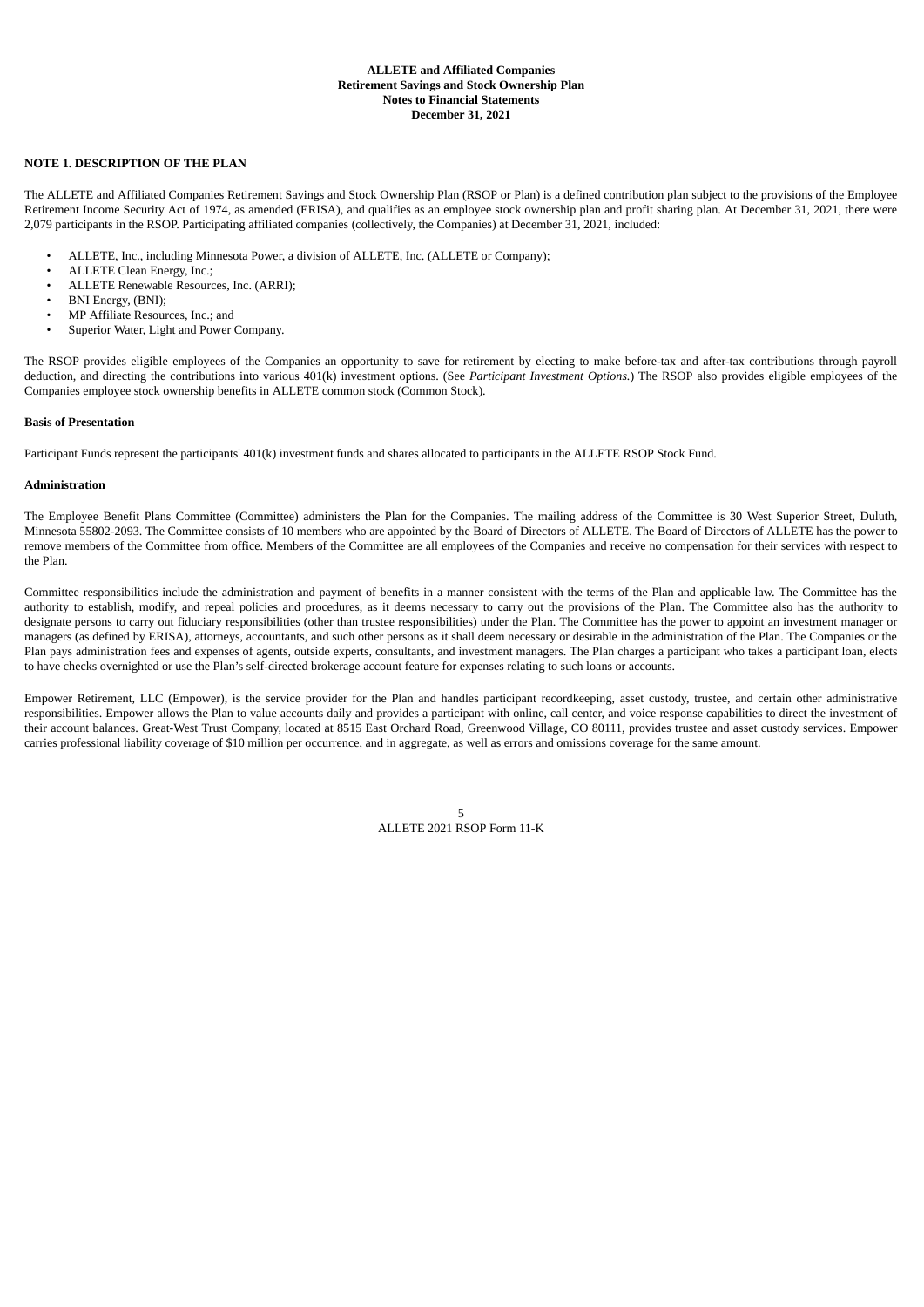## **ALLETE and Affiliated Companies Retirement Savings and Stock Ownership Plan Notes to Financial Statements December 31, 2021**

## <span id="page-5-0"></span>**NOTE 1. DESCRIPTION OF THE PLAN**

The ALLETE and Affiliated Companies Retirement Savings and Stock Ownership Plan (RSOP or Plan) is a defined contribution plan subject to the provisions of the Employee Retirement Income Security Act of 1974, as amended (ERISA), and qualifies as an employee stock ownership plan and profit sharing plan. At December 31, 2021, there were 2,079 participants in the RSOP. Participating affiliated companies (collectively, the Companies) at December 31, 2021, included:

- ALLETE, Inc., including Minnesota Power, a division of ALLETE, Inc. (ALLETE or Company);
- ALLETE Clean Energy, Inc.;
- ALLETE Renewable Resources, Inc. (ARRI);
- BNI Energy, (BNI);<br>• MP Affiliate Resour
- MP Affiliate Resources, Inc.; and
- Superior Water, Light and Power Company.

The RSOP provides eligible employees of the Companies an opportunity to save for retirement by electing to make before-tax and after-tax contributions through payroll deduction, and directing the contributions into various 401(k) investment options. (See *Participant Investment Options.*) The RSOP also provides eligible employees of the Companies employee stock ownership benefits in ALLETE common stock (Common Stock).

#### **Basis of Presentation**

Participant Funds represent the participants' 401(k) investment funds and shares allocated to participants in the ALLETE RSOP Stock Fund.

#### **Administration**

The Employee Benefit Plans Committee (Committee) administers the Plan for the Companies. The mailing address of the Committee is 30 West Superior Street, Duluth, Minnesota 55802-2093. The Committee consists of 10 members who are appointed by the Board of Directors of ALLETE. The Board of Directors of ALLETE has the power to remove members of the Committee from office. Members of the Committee are all employees of the Companies and receive no compensation for their services with respect to the Plan.

Committee responsibilities include the administration and payment of benefits in a manner consistent with the terms of the Plan and applicable law. The Committee has the authority to establish, modify, and repeal policies and procedures, as it deems necessary to carry out the provisions of the Plan. The Committee also has the authority to designate persons to carry out fiduciary responsibilities (other than trustee responsibilities) under the Plan. The Committee has the power to appoint an investment manager or managers (as defined by ERISA), attorneys, accountants, and such other persons as it shall deem necessary or desirable in the administration of the Plan. The Companies or the Plan pays administration fees and expenses of agents, outside experts, consultants, and investment managers. The Plan charges a participant who takes a participant loan, elects to have checks overnighted or use the Plan's self-directed brokerage account feature for expenses relating to such loans or accounts.

Empower Retirement, LLC (Empower), is the service provider for the Plan and handles participant recordkeeping, asset custody, trustee, and certain other administrative responsibilities. Empower allows the Plan to value accounts daily and provides a participant with online, call center, and voice response capabilities to direct the investment of their account balances. Great-West Trust Company, located at 8515 East Orchard Road, Greenwood Village, CO 80111, provides trustee and asset custody services. Empower carries professional liability coverage of \$10 million per occurrence, and in aggregate, as well as errors and omissions coverage for the same amount.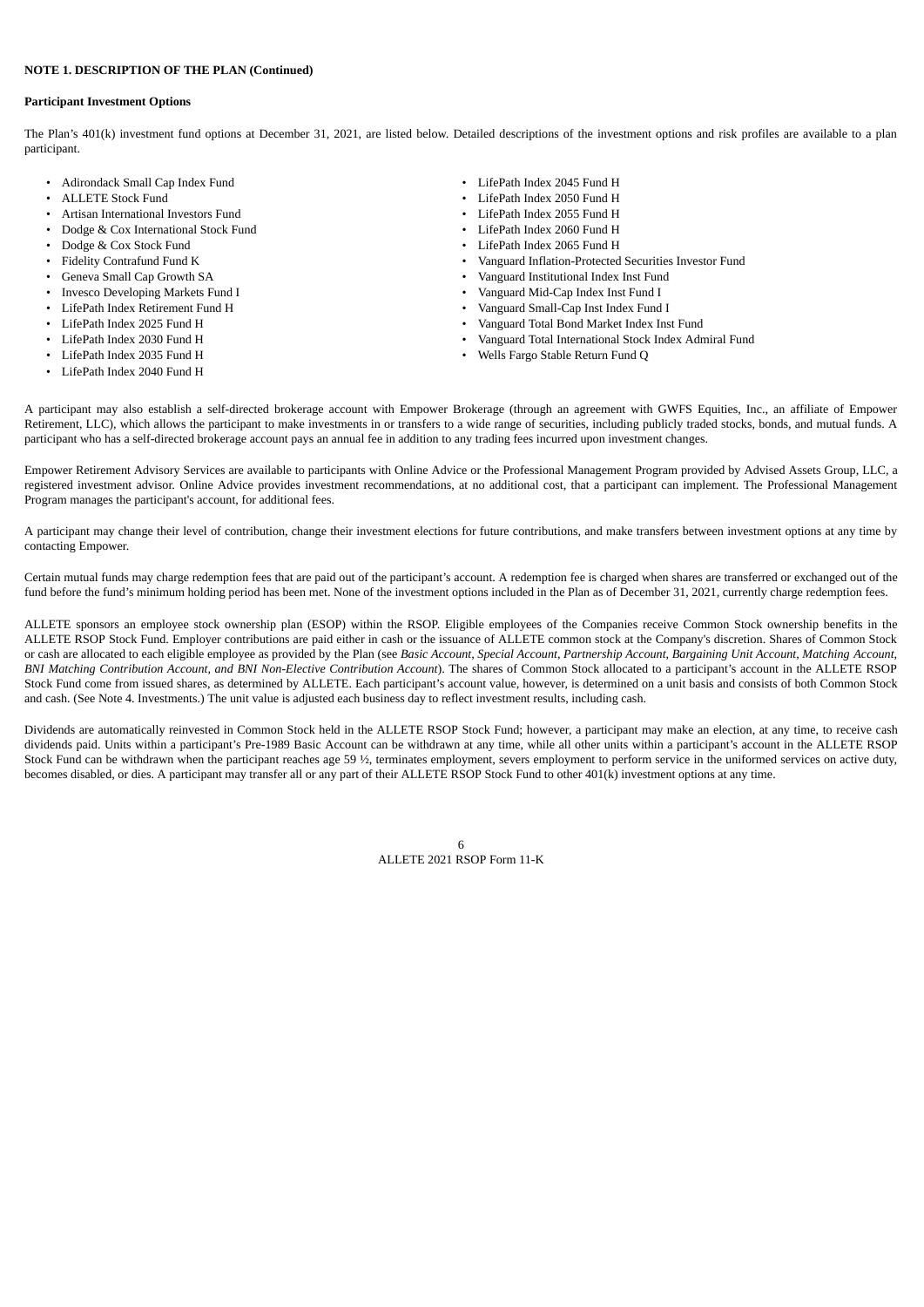## **Participant Investment Options**

The Plan's 401(k) investment fund options at December 31, 2021, are listed below. Detailed descriptions of the investment options and risk profiles are available to a plan participant.

- Adirondack Small Cap Index Fund  **Community 1990** LifePath Index 2045 Fund H
- 
- Artisan International Investors Fund
- Dodge & Cox International Stock Fund  **Community 1998** LifePath Index 2060 Fund H
- 
- 
- 
- Invesco Developing Markets Fund I Vanguard Mid-Cap Index Inst Fund I
- LifePath Index Retirement Fund H Vanguard Small-Cap Inst Index Fund I
- 
- 
- 
- LifePath Index 2040 Fund H
- 
- ALLETE Stock Fund LifePath Index 2050 Fund H
	-
	-
- Dodge & Cox Stock Fund LifePath Index 2065 Fund H
- Fidelity Contrafund Fund K Vanguard Inflation-Protected Securities Investor Fund
	- Geneva Small Cap Growth SA Vanguard Institutional Index Inst Fund
		-
		-
- LifePath Index 2025 Fund H Vanguard Total Bond Market Index Inst Fund
	- LifePath Index 2030 Fund H Vanguard Total International Stock Index Admiral Fund
- LifePath Index 2035 Fund H Wells Fargo Stable Return Fund Q

A participant may also establish a self-directed brokerage account with Empower Brokerage (through an agreement with GWFS Equities, Inc., an affiliate of Empower Retirement, LLC), which allows the participant to make investments in or transfers to a wide range of securities, including publicly traded stocks, bonds, and mutual funds. A participant who has a self-directed brokerage account pays an annual fee in addition to any trading fees incurred upon investment changes.

Empower Retirement Advisory Services are available to participants with Online Advice or the Professional Management Program provided by Advised Assets Group, LLC, a registered investment advisor. Online Advice provides investment recommendations, at no additional cost, that a participant can implement. The Professional Management Program manages the participant's account, for additional fees.

A participant may change their level of contribution, change their investment elections for future contributions, and make transfers between investment options at any time by contacting Empower.

Certain mutual funds may charge redemption fees that are paid out of the participant's account. A redemption fee is charged when shares are transferred or exchanged out of the fund before the fund's minimum holding period has been met. None of the investment options included in the Plan as of December 31, 2021, currently charge redemption fees.

ALLETE sponsors an employee stock ownership plan (ESOP) within the RSOP. Eligible employees of the Companies receive Common Stock ownership benefits in the ALLETE RSOP Stock Fund. Employer contributions are paid either in cash or the issuance of ALLETE common stock at the Company's discretion. Shares of Common Stock or cash are allocated to each eligible employee as provided by the Plan (see Basic Account, Special Account, Partnership Account, Bargaining Unit Account, Matching Account, *BNI Matching Contribution Account, and BNI Non-Elective Contribution Account*). The shares of Common Stock allocated to a participant's account in the ALLETE RSOP Stock Fund come from issued shares, as determined by ALLETE. Each participant's account value, however, is determined on a unit basis and consists of both Common Stock and cash. (See Note 4. Investments.) The unit value is adjusted each business day to reflect investment results, including cash.

Dividends are automatically reinvested in Common Stock held in the ALLETE RSOP Stock Fund; however, a participant may make an election, at any time, to receive cash dividends paid. Units within a participant's Pre-1989 Basic Account can be withdrawn at any time, while all other units within a participant's account in the ALLETE RSOP Stock Fund can be withdrawn when the participant reaches age 59 ½, terminates employment, severs employment to perform service in the uniformed services on active duty, becomes disabled, or dies. A participant may transfer all or any part of their ALLETE RSOP Stock Fund to other 401(k) investment options at any time.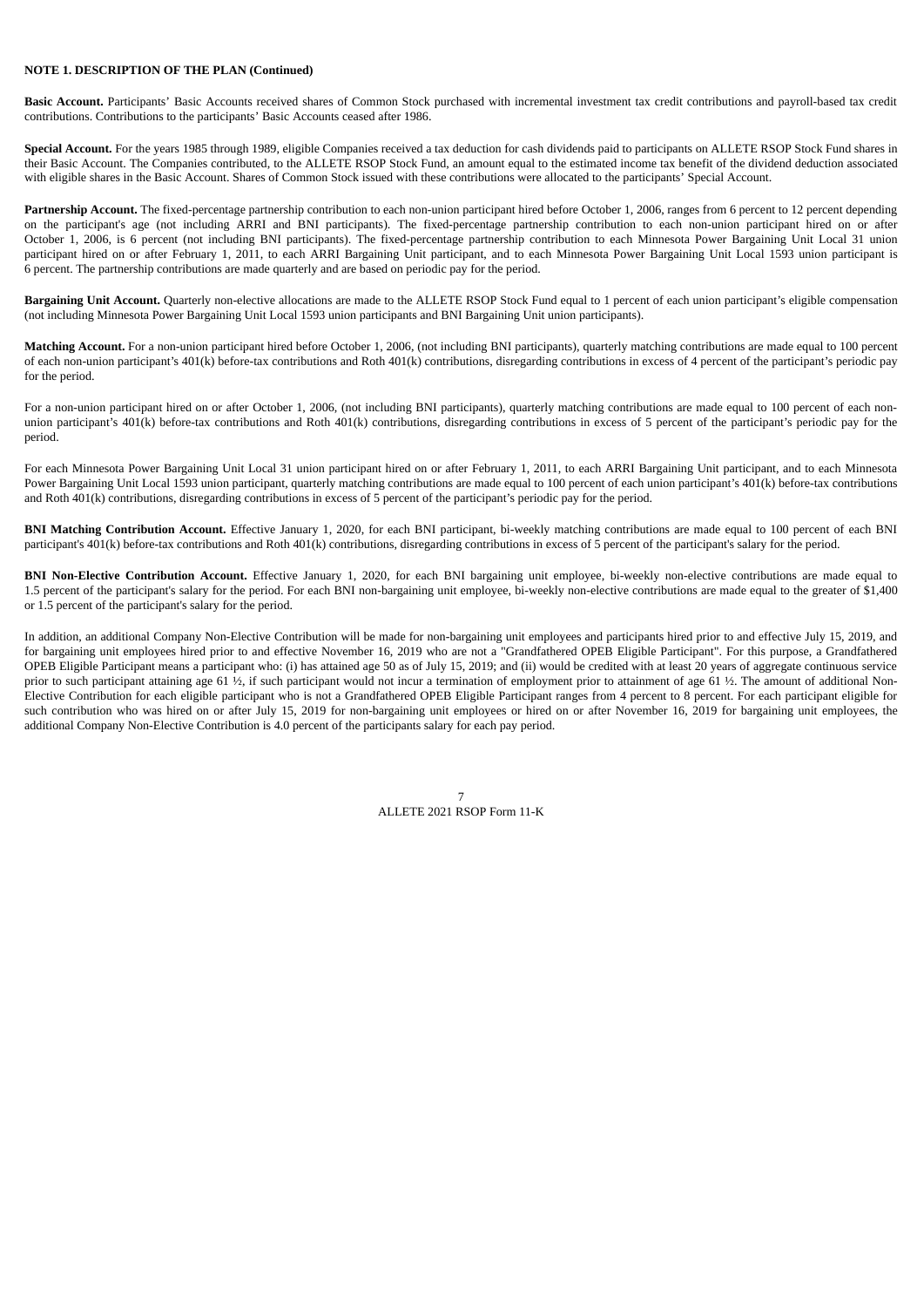**Basic Account.** Participants' Basic Accounts received shares of Common Stock purchased with incremental investment tax credit contributions and payroll-based tax credit contributions. Contributions to the participants' Basic Accounts ceased after 1986.

**Special Account.** For the years 1985 through 1989, eligible Companies received a tax deduction for cash dividends paid to participants on ALLETE RSOP Stock Fund shares in their Basic Account. The Companies contributed, to the ALLETE RSOP Stock Fund, an amount equal to the estimated income tax benefit of the dividend deduction associated with eligible shares in the Basic Account. Shares of Common Stock issued with these contributions were allocated to the participants' Special Account.

Partnership Account. The fixed-percentage partnership contribution to each non-union participant hired before October 1, 2006, ranges from 6 percent to 12 percent depending on the participant's age (not including ARRI and BNI participants). The fixed-percentage partnership contribution to each non-union participant hired on or after October 1, 2006, is 6 percent (not including BNI participants). The fixed-percentage partnership contribution to each Minnesota Power Bargaining Unit Local 31 union participant hired on or after February 1, 2011, to each ARRI Bargaining Unit participant, and to each Minnesota Power Bargaining Unit Local 1593 union participant is 6 percent. The partnership contributions are made quarterly and are based on periodic pay for the period.

**Bargaining Unit Account.** Quarterly non-elective allocations are made to the ALLETE RSOP Stock Fund equal to 1 percent of each union participant's eligible compensation (not including Minnesota Power Bargaining Unit Local 1593 union participants and BNI Bargaining Unit union participants).

**Matching Account.** For a non-union participant hired before October 1, 2006, (not including BNI participants), quarterly matching contributions are made equal to 100 percent of each non-union participant's 401(k) before-tax contributions and Roth 401(k) contributions, disregarding contributions in excess of 4 percent of the participant's periodic pay for the period.

For a non-union participant hired on or after October 1, 2006, (not including BNI participants), quarterly matching contributions are made equal to 100 percent of each nonunion participant's 401(k) before-tax contributions and Roth 401(k) contributions, disregarding contributions in excess of 5 percent of the participant's periodic pay for the period.

For each Minnesota Power Bargaining Unit Local 31 union participant hired on or after February 1, 2011, to each ARRI Bargaining Unit participant, and to each Minnesota Power Bargaining Unit Local 1593 union participant, quarterly matching contributions are made equal to 100 percent of each union participant's 401(k) before-tax contributions and Roth 401(k) contributions, disregarding contributions in excess of 5 percent of the participant's periodic pay for the period.

**BNI Matching Contribution Account.** Effective January 1, 2020, for each BNI participant, bi-weekly matching contributions are made equal to 100 percent of each BNI participant's 401(k) before-tax contributions and Roth 401(k) contributions, disregarding contributions in excess of 5 percent of the participant's salary for the period.

**BNI Non-Elective Contribution Account.** Effective January 1, 2020, for each BNI bargaining unit employee, bi-weekly non-elective contributions are made equal to 1.5 percent of the participant's salary for the period. For each BNI non-bargaining unit employee, bi-weekly non-elective contributions are made equal to the greater of \$1,400 or 1.5 percent of the participant's salary for the period.

In addition, an additional Company Non-Elective Contribution will be made for non-bargaining unit employees and participants hired prior to and effective July 15, 2019, and for bargaining unit employees hired prior to and effective November 16, 2019 who are not a "Grandfathered OPEB Eligible Participant". For this purpose, a Grandfathered OPEB Eligible Participant means a participant who: (i) has attained age 50 as of July 15, 2019; and (ii) would be credited with at least 20 years of aggregate continuous service prior to such participant attaining age 61  $\frac{1}{2}$ , if such participant would not incur a termination of employment prior to attainment of age 61  $\frac{1}{2}$ . The amount of additional Non-Elective Contribution for each eligible participant who is not a Grandfathered OPEB Eligible Participant ranges from 4 percent to 8 percent. For each participant eligible for such contribution who was hired on or after July 15, 2019 for non-bargaining unit employees or hired on or after November 16, 2019 for bargaining unit employees, the additional Company Non-Elective Contribution is 4.0 percent of the participants salary for each pay period.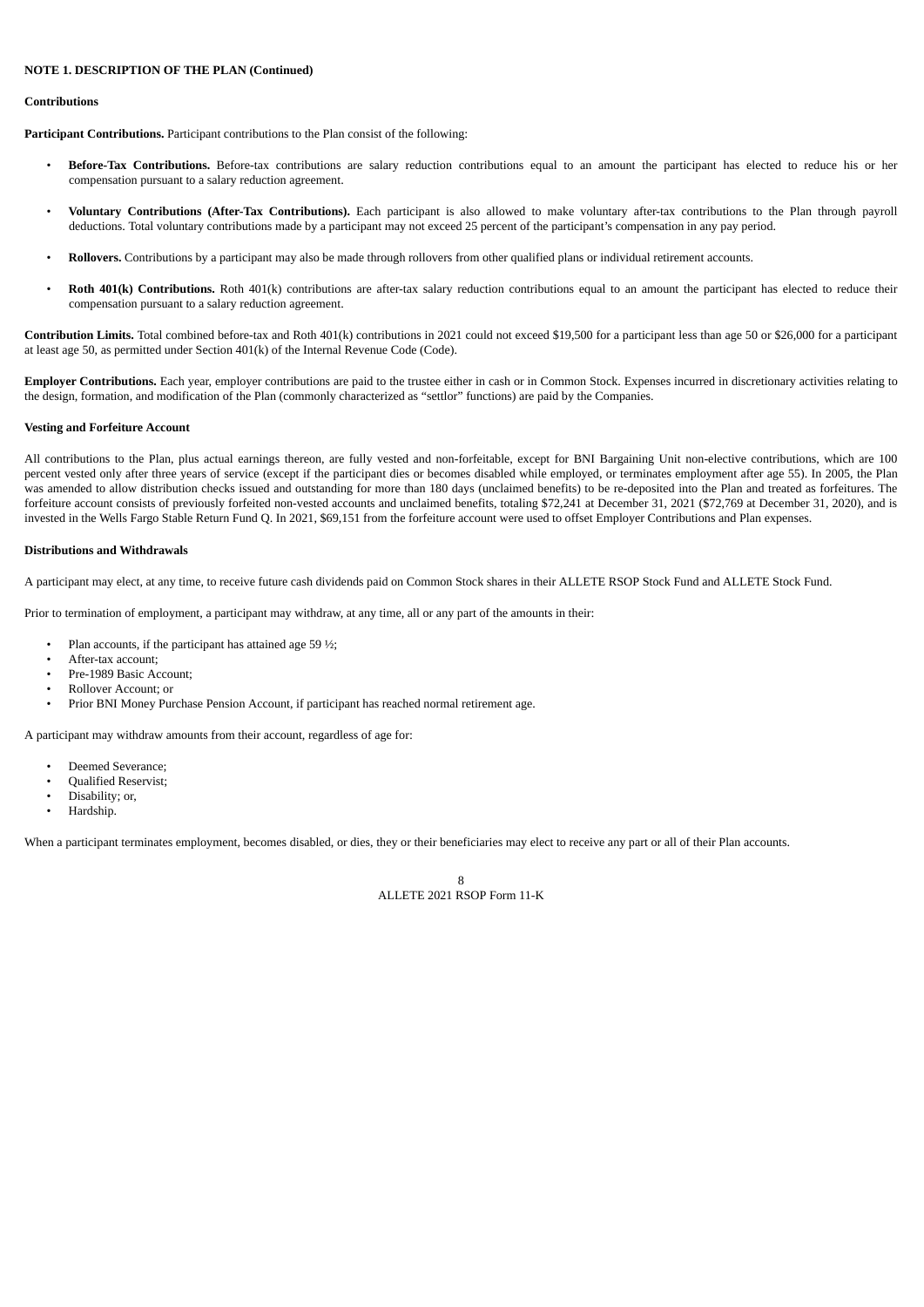#### **Contributions**

**Participant Contributions.** Participant contributions to the Plan consist of the following:

- **Before-Tax Contributions.** Before-tax contributions are salary reduction contributions equal to an amount the participant has elected to reduce his or her compensation pursuant to a salary reduction agreement.
- **Voluntary Contributions (After-Tax Contributions).** Each participant is also allowed to make voluntary after-tax contributions to the Plan through payroll deductions. Total voluntary contributions made by a participant may not exceed 25 percent of the participant's compensation in any pay period.
- **Rollovers.** Contributions by a participant may also be made through rollovers from other qualified plans or individual retirement accounts.
- **Roth 401(k) Contributions.** Roth 401(k) contributions are after-tax salary reduction contributions equal to an amount the participant has elected to reduce their compensation pursuant to a salary reduction agreement.

**Contribution Limits.** Total combined before-tax and Roth 401(k) contributions in 2021 could not exceed \$19,500 for a participant less than age 50 or \$26,000 for a participant at least age 50, as permitted under Section 401(k) of the Internal Revenue Code (Code).

**Employer Contributions.** Each year, employer contributions are paid to the trustee either in cash or in Common Stock. Expenses incurred in discretionary activities relating to the design, formation, and modification of the Plan (commonly characterized as "settlor" functions) are paid by the Companies.

## **Vesting and Forfeiture Account**

All contributions to the Plan, plus actual earnings thereon, are fully vested and non-forfeitable, except for BNI Bargaining Unit non-elective contributions, which are 100 percent vested only after three years of service (except if the participant dies or becomes disabled while employed, or terminates employment after age 55). In 2005, the Plan was amended to allow distribution checks issued and outstanding for more than 180 days (unclaimed benefits) to be re-deposited into the Plan and treated as forfeitures. The forfeiture account consists of previously forfeited non-vested accounts and unclaimed benefits, totaling \$72,241 at December 31, 2021 (\$72,769 at December 31, 2020), and is invested in the Wells Fargo Stable Return Fund Q. In 2021, \$69,151 from the forfeiture account were used to offset Employer Contributions and Plan expenses.

## **Distributions and Withdrawals**

A participant may elect, at any time, to receive future cash dividends paid on Common Stock shares in their ALLETE RSOP Stock Fund and ALLETE Stock Fund.

Prior to termination of employment, a participant may withdraw, at any time, all or any part of the amounts in their:

- Plan accounts, if the participant has attained age 59  $\frac{1}{2}$ ;
- After-tax account;
- Pre-1989 Basic Account;
- Rollover Account; or
- Prior BNI Money Purchase Pension Account, if participant has reached normal retirement age.

A participant may withdraw amounts from their account, regardless of age for:

- Deemed Severance;
- Qualified Reservist;
- Disability; or,
- Hardship.

When a participant terminates employment, becomes disabled, or dies, they or their beneficiaries may elect to receive any part or all of their Plan accounts.

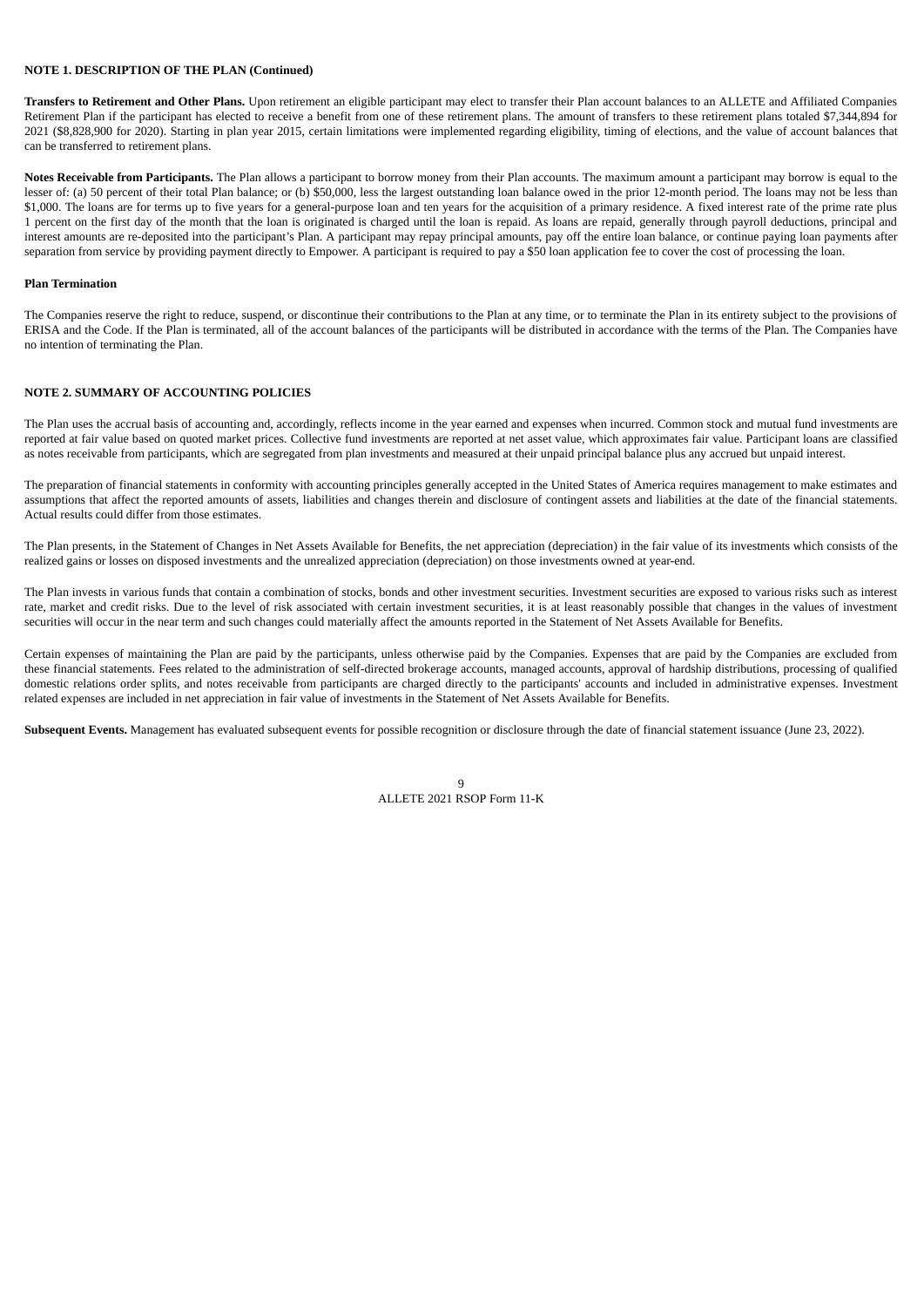**Transfers to Retirement and Other Plans.** Upon retirement an eligible participant may elect to transfer their Plan account balances to an ALLETE and Affiliated Companies Retirement Plan if the participant has elected to receive a benefit from one of these retirement plans. The amount of transfers to these retirement plans totaled \$7,344,894 for 2021 (\$8,828,900 for 2020). Starting in plan year 2015, certain limitations were implemented regarding eligibility, timing of elections, and the value of account balances that can be transferred to retirement plans.

**Notes Receivable from Participants.** The Plan allows a participant to borrow money from their Plan accounts. The maximum amount a participant may borrow is equal to the lesser of: (a) 50 percent of their total Plan balance; or (b) \$50,000, less the largest outstanding loan balance owed in the prior 12-month period. The loans may not be less than \$1,000. The loans are for terms up to five years for a general-purpose loan and ten years for the acquisition of a primary residence. A fixed interest rate of the prime rate plus 1 percent on the first day of the month that the loan is originated is charged until the loan is repaid. As loans are repaid, generally through payroll deductions, principal and interest amounts are re-deposited into the participant's Plan. A participant may repay principal amounts, pay off the entire loan balance, or continue paying loan payments after separation from service by providing payment directly to Empower. A participant is required to pay a \$50 loan application fee to cover the cost of processing the loan.

#### **Plan Termination**

The Companies reserve the right to reduce, suspend, or discontinue their contributions to the Plan at any time, or to terminate the Plan in its entirety subject to the provisions of ERISA and the Code. If the Plan is terminated, all of the account balances of the participants will be distributed in accordance with the terms of the Plan. The Companies have no intention of terminating the Plan.

#### <span id="page-9-0"></span>**NOTE 2. SUMMARY OF ACCOUNTING POLICIES**

The Plan uses the accrual basis of accounting and, accordingly, reflects income in the year earned and expenses when incurred. Common stock and mutual fund investments are reported at fair value based on quoted market prices. Collective fund investments are reported at net asset value, which approximates fair value. Participant loans are classified as notes receivable from participants, which are segregated from plan investments and measured at their unpaid principal balance plus any accrued but unpaid interest.

The preparation of financial statements in conformity with accounting principles generally accepted in the United States of America requires management to make estimates and assumptions that affect the reported amounts of assets, liabilities and changes therein and disclosure of contingent assets and liabilities at the date of the financial statements. Actual results could differ from those estimates.

The Plan presents, in the Statement of Changes in Net Assets Available for Benefits, the net appreciation (depreciation) in the fair value of its investments which consists of the realized gains or losses on disposed investments and the unrealized appreciation (depreciation) on those investments owned at year-end.

The Plan invests in various funds that contain a combination of stocks, bonds and other investment securities. Investment securities are exposed to various risks such as interest rate, market and credit risks. Due to the level of risk associated with certain investment securities, it is at least reasonably possible that changes in the values of investment securities will occur in the near term and such changes could materially affect the amounts reported in the Statement of Net Assets Available for Benefits.

Certain expenses of maintaining the Plan are paid by the participants, unless otherwise paid by the Companies. Expenses that are paid by the Companies are excluded from these financial statements. Fees related to the administration of self-directed brokerage accounts, managed accounts, approval of hardship distributions, processing of qualified domestic relations order splits, and notes receivable from participants are charged directly to the participants' accounts and included in administrative expenses. Investment related expenses are included in net appreciation in fair value of investments in the Statement of Net Assets Available for Benefits.

<span id="page-9-1"></span>**Subsequent Events.** Management has evaluated subsequent events for possible recognition or disclosure through the date of financial statement issuance (June 23, 2022).

 $\mathbf{q}$ ALLETE 2021 RSOP Form 11-K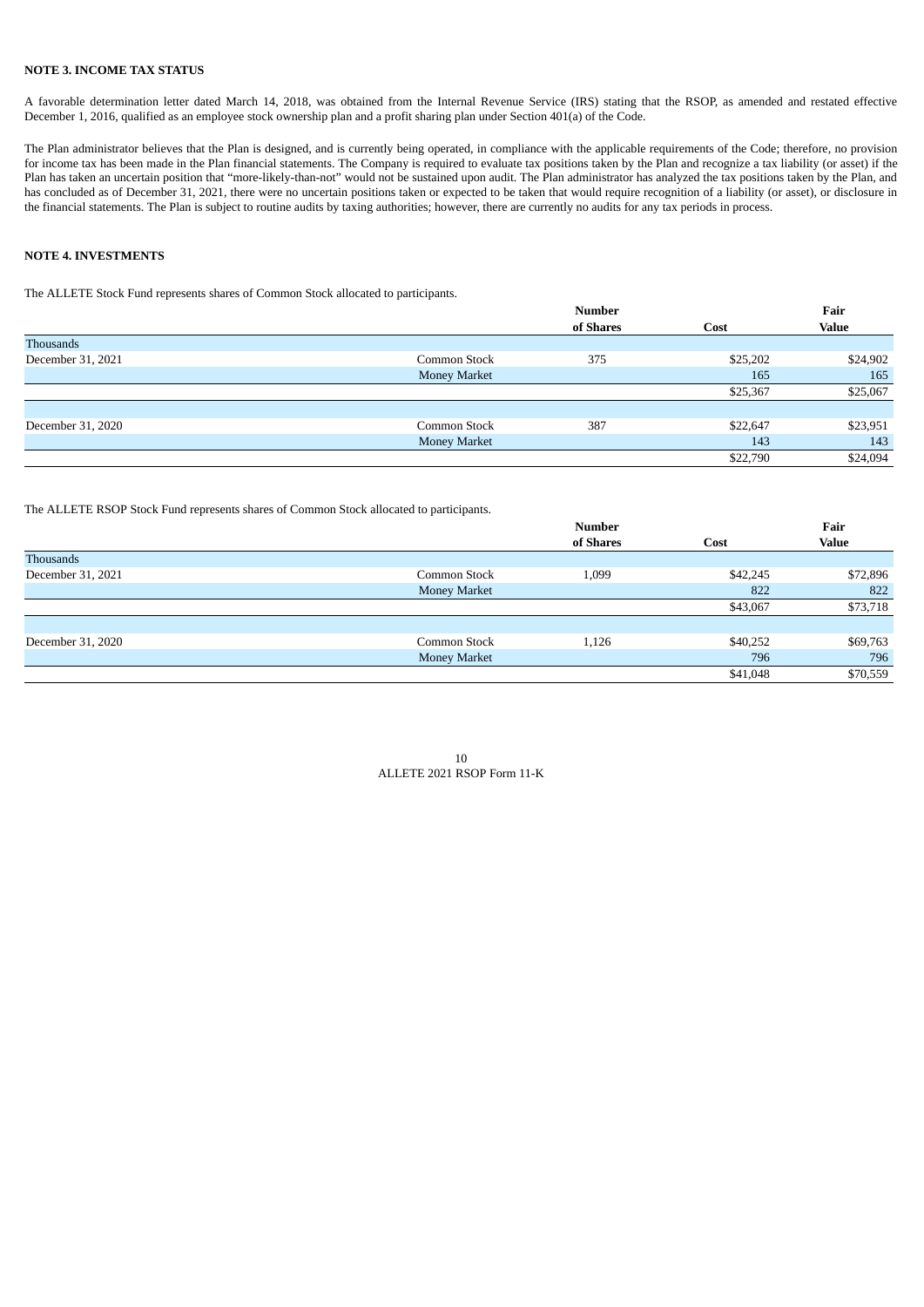## **NOTE 3. INCOME TAX STATUS**

A favorable determination letter dated March 14, 2018, was obtained from the Internal Revenue Service (IRS) stating that the RSOP, as amended and restated effective December 1, 2016, qualified as an employee stock ownership plan and a profit sharing plan under Section 401(a) of the Code.

The Plan administrator believes that the Plan is designed, and is currently being operated, in compliance with the applicable requirements of the Code; therefore, no provision for income tax has been made in the Plan financial statements. The Company is required to evaluate tax positions taken by the Plan and recognize a tax liability (or asset) if the Plan has taken an uncertain position that "more-likely-than-not" would not be sustained upon audit. The Plan administrator has analyzed the tax positions taken by the Plan, and has concluded as of December 31, 2021, there were no uncertain positions taken or expected to be taken that would require recognition of a liability (or asset), or disclosure in the financial statements. The Plan is subject to routine audits by taxing authorities; however, there are currently no audits for any tax periods in process.

## <span id="page-10-0"></span>**NOTE 4. INVESTMENTS**

The ALLETE Stock Fund represents shares of Common Stock allocated to participants.

|                   |                     | <b>Number</b> |          | Fair         |
|-------------------|---------------------|---------------|----------|--------------|
|                   |                     | of Shares     | Cost     | <b>Value</b> |
| Thousands         |                     |               |          |              |
| December 31, 2021 | Common Stock        | 375           | \$25,202 | \$24,902     |
|                   | <b>Money Market</b> |               | 165      | 165          |
|                   |                     |               | \$25,367 | \$25,067     |
|                   |                     |               |          |              |
| December 31, 2020 | Common Stock        | 387           | \$22,647 | \$23,951     |
|                   | <b>Money Market</b> |               | 143      | 143          |
|                   |                     |               | \$22,790 | \$24,094     |

The ALLETE RSOP Stock Fund represents shares of Common Stock allocated to participants.

|                   |                     | Number    |          | Fair         |  |
|-------------------|---------------------|-----------|----------|--------------|--|
|                   |                     | of Shares | Cost     | <b>Value</b> |  |
| Thousands         |                     |           |          |              |  |
| December 31, 2021 | Common Stock        | 1,099     | \$42,245 | \$72,896     |  |
|                   | <b>Money Market</b> |           | 822      | 822          |  |
|                   |                     |           | \$43,067 | \$73,718     |  |
|                   |                     |           |          |              |  |
| December 31, 2020 | Common Stock        | 1,126     | \$40,252 | \$69,763     |  |
|                   | <b>Money Market</b> |           | 796      | 796          |  |
|                   |                     |           | \$41,048 | \$70,559     |  |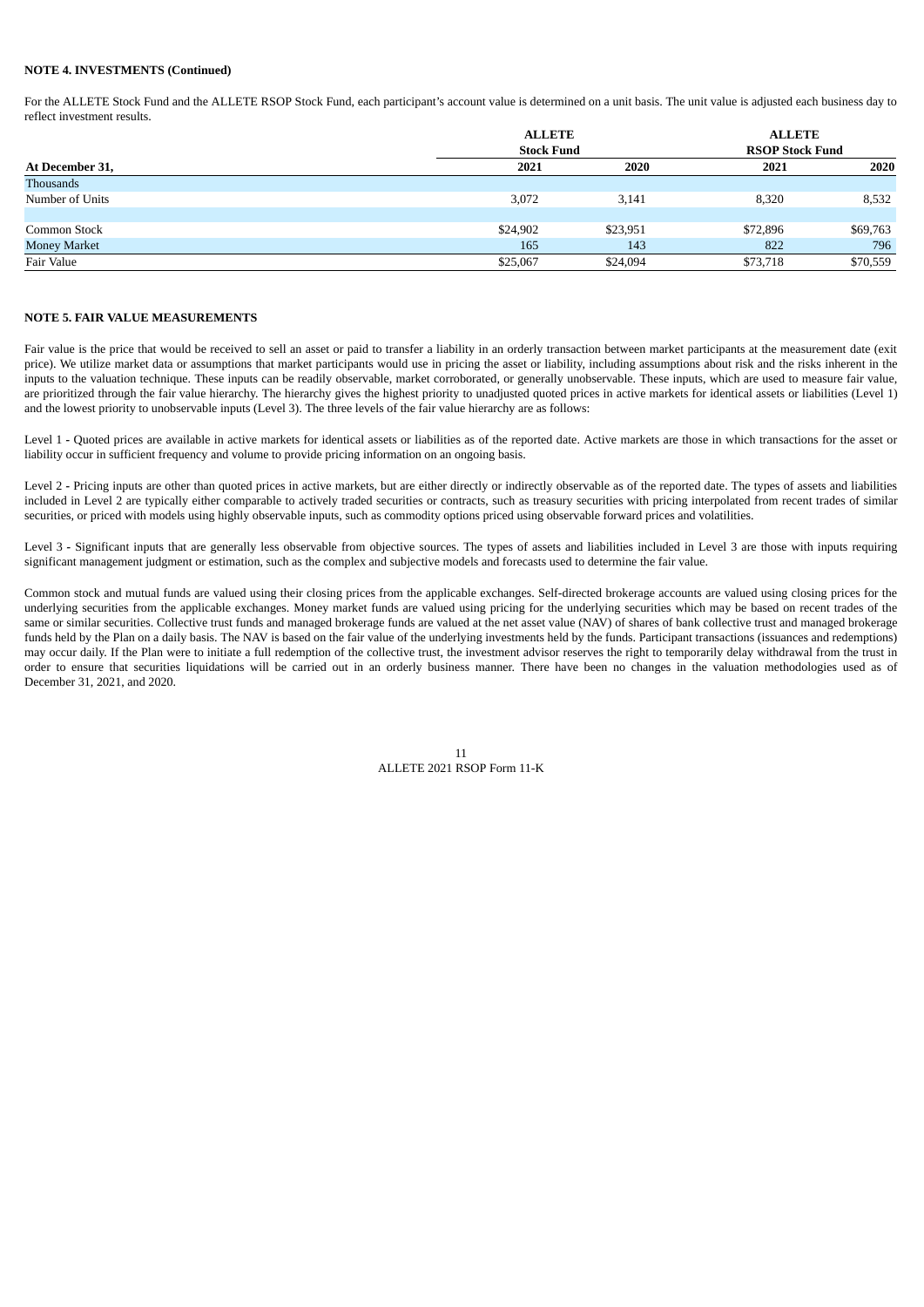## **NOTE 4. INVESTMENTS (Continued)**

For the ALLETE Stock Fund and the ALLETE RSOP Stock Fund, each participant's account value is determined on a unit basis. The unit value is adjusted each business day to reflect investment results.

|                     | <b>ALLETE</b><br><b>Stock Fund</b> |          |                        | <b>ALLETE</b> |  |
|---------------------|------------------------------------|----------|------------------------|---------------|--|
|                     |                                    |          | <b>RSOP Stock Fund</b> |               |  |
| At December 31,     | 2021                               | 2020     | 2021                   | 2020          |  |
| Thousands           |                                    |          |                        |               |  |
| Number of Units     | 3,072                              | 3,141    | 8,320                  | 8,532         |  |
|                     |                                    |          |                        |               |  |
| Common Stock        | \$24,902                           | \$23,951 | \$72,896               | \$69,763      |  |
| <b>Money Market</b> | 165                                | 143      | 822                    | 796           |  |
| Fair Value          | \$25,067                           | \$24,094 | \$73,718               | \$70,559      |  |

## <span id="page-11-0"></span>**NOTE 5. FAIR VALUE MEASUREMENTS**

Fair value is the price that would be received to sell an asset or paid to transfer a liability in an orderly transaction between market participants at the measurement date (exit price). We utilize market data or assumptions that market participants would use in pricing the asset or liability, including assumptions about risk and the risks inherent in the inputs to the valuation technique. These inputs can be readily observable, market corroborated, or generally unobservable. These inputs, which are used to measure fair value, are prioritized through the fair value hierarchy. The hierarchy gives the highest priority to unadjusted quoted prices in active markets for identical assets or liabilities (Level 1) and the lowest priority to unobservable inputs (Level 3). The three levels of the fair value hierarchy are as follows:

Level 1 - Quoted prices are available in active markets for identical assets or liabilities as of the reported date. Active markets are those in which transactions for the asset or liability occur in sufficient frequency and volume to provide pricing information on an ongoing basis.

Level 2 - Pricing inputs are other than quoted prices in active markets, but are either directly or indirectly observable as of the reported date. The types of assets and liabilities included in Level 2 are typically either comparable to actively traded securities or contracts, such as treasury securities with pricing interpolated from recent trades of similar securities, or priced with models using highly observable inputs, such as commodity options priced using observable forward prices and volatilities.

Level 3 - Significant inputs that are generally less observable from objective sources. The types of assets and liabilities included in Level 3 are those with inputs requiring significant management judgment or estimation, such as the complex and subjective models and forecasts used to determine the fair value.

Common stock and mutual funds are valued using their closing prices from the applicable exchanges. Self-directed brokerage accounts are valued using closing prices for the underlying securities from the applicable exchanges. Money market funds are valued using pricing for the underlying securities which may be based on recent trades of the same or similar securities. Collective trust funds and managed brokerage funds are valued at the net asset value (NAV) of shares of bank collective trust and managed brokerage funds held by the Plan on a daily basis. The NAV is based on the fair value of the underlying investments held by the funds. Participant transactions (issuances and redemptions) may occur daily. If the Plan were to initiate a full redemption of the collective trust, the investment advisor reserves the right to temporarily delay withdrawal from the trust in order to ensure that securities liquidations will be carried out in an orderly business manner. There have been no changes in the valuation methodologies used as of December 31, 2021, and 2020.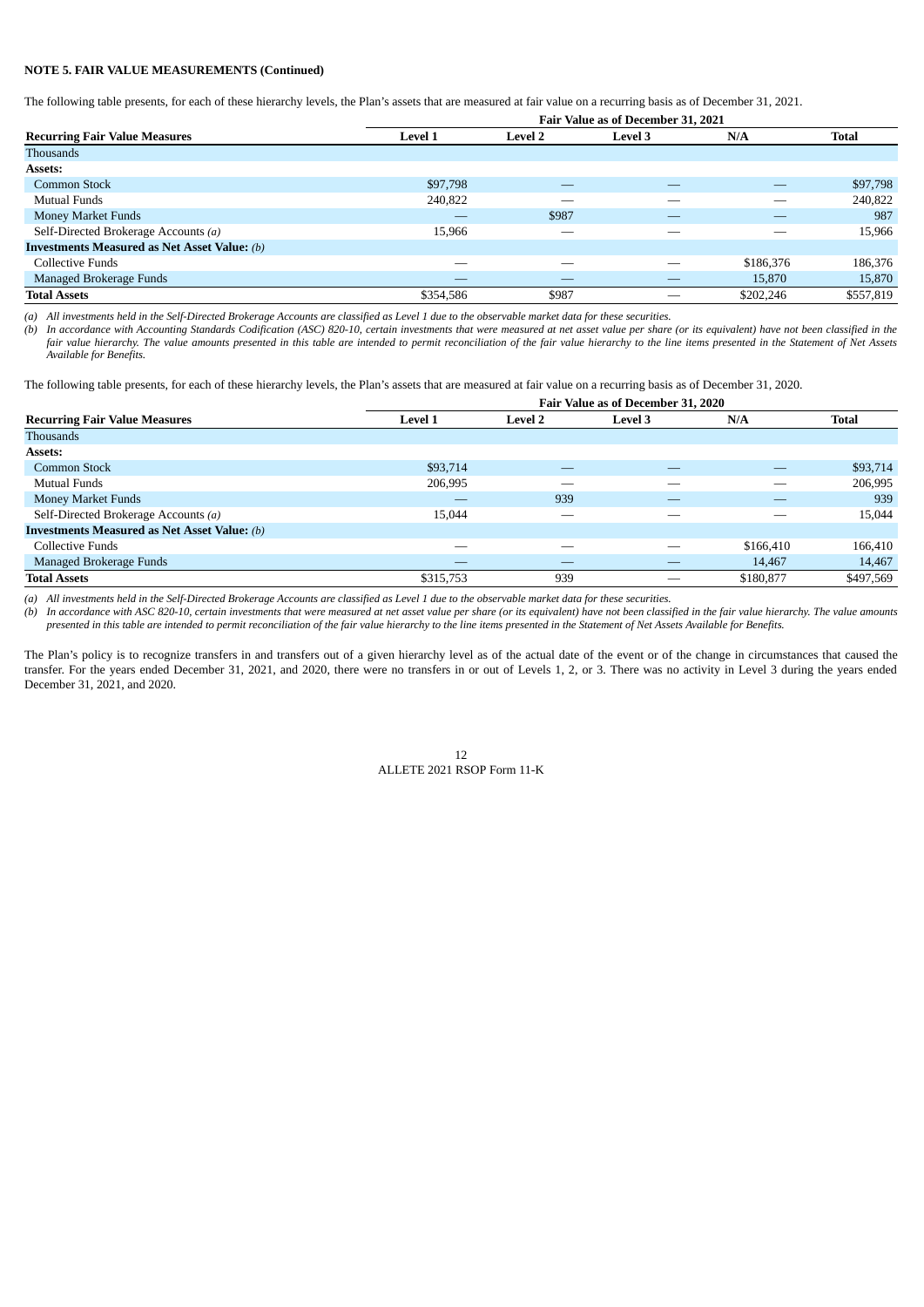## **NOTE 5. FAIR VALUE MEASUREMENTS (Continued)**

The following table presents, for each of these hierarchy levels, the Plan's assets that are measured at fair value on a recurring basis as of December 31, 2021.

|                                                     | Fair Value as of December 31, 2021 |                |                |           |              |
|-----------------------------------------------------|------------------------------------|----------------|----------------|-----------|--------------|
| <b>Recurring Fair Value Measures</b>                | <b>Level 1</b>                     | <b>Level 2</b> | <b>Level 3</b> | N/A       | <b>Total</b> |
| <b>Thousands</b>                                    |                                    |                |                |           |              |
| Assets:                                             |                                    |                |                |           |              |
| <b>Common Stock</b>                                 | \$97,798                           |                |                |           | \$97,798     |
| Mutual Funds                                        | 240,822                            | _              |                |           | 240,822      |
| Money Market Funds                                  | _                                  | \$987          |                |           | 987          |
| Self-Directed Brokerage Accounts (a)                | 15,966                             |                | --             |           | 15,966       |
| <b>Investments Measured as Net Asset Value:</b> (b) |                                    |                |                |           |              |
| Collective Funds                                    | _                                  | _              |                | \$186,376 | 186,376      |
| Managed Brokerage Funds                             |                                    |                |                | 15,870    | 15,870       |
| <b>Total Assets</b>                                 | \$354,586                          | \$987          | __             | \$202,246 | \$557,819    |

*(a) All investments held in the Self-Directed Brokerage Accounts are classified as Level 1 due to the observable market data for these securities.*

*(b) In accordance with Accounting Standards Codification (ASC) 820-10, certain investments that were measured at net asset value per share (or its equivalent) have not been classified in the fair value hierarchy. The value amounts presented in this table are intended to permit reconciliation of the fair value hierarchy to the line items presented in the Statement of Net Assets Available for Benefits.*

The following table presents, for each of these hierarchy levels, the Plan's assets that are measured at fair value on a recurring basis as of December 31, 2020.

| Fair Value as of December 31, 2020                  |                |                |                |           |              |
|-----------------------------------------------------|----------------|----------------|----------------|-----------|--------------|
| <b>Recurring Fair Value Measures</b>                | <b>Level 1</b> | <b>Level 2</b> | <b>Level 3</b> | N/A       | <b>Total</b> |
| <b>Thousands</b>                                    |                |                |                |           |              |
| <b>Assets:</b>                                      |                |                |                |           |              |
| Common Stock                                        | \$93,714       | _              |                |           | \$93,714     |
| Mutual Funds                                        | 206,995        | __             |                |           | 206,995      |
| Money Market Funds                                  |                | 939            | —              | _         | 939          |
| Self-Directed Brokerage Accounts (a)                | 15,044         | __             |                |           | 15,044       |
| <b>Investments Measured as Net Asset Value:</b> (b) |                |                |                |           |              |
| Collective Funds                                    |                |                |                | \$166,410 | 166,410      |
| Managed Brokerage Funds                             |                |                |                | 14,467    | 14,467       |
| <b>Total Assets</b>                                 | \$315,753      | 939            |                | \$180,877 | \$497,569    |

*(a) All investments held in the Self-Directed Brokerage Accounts are classified as Level 1 due to the observable market data for these securities.*

*(b) In accordance with ASC 820-10, certain investments that were measured at net asset value per share (or its equivalent) have not been classified in the fair value hierarchy. The value amounts presented in this table are intended to permit reconciliation of the fair value hierarchy to the line items presented in the Statement of Net Assets Available for Benefits.*

The Plan's policy is to recognize transfers in and transfers out of a given hierarchy level as of the actual date of the event or of the change in circumstances that caused the transfer. For the years ended December 31, 2021, and 2020, there were no transfers in or out of Levels 1, 2, or 3. There was no activity in Level 3 during the years ended December 31, 2021, and 2020.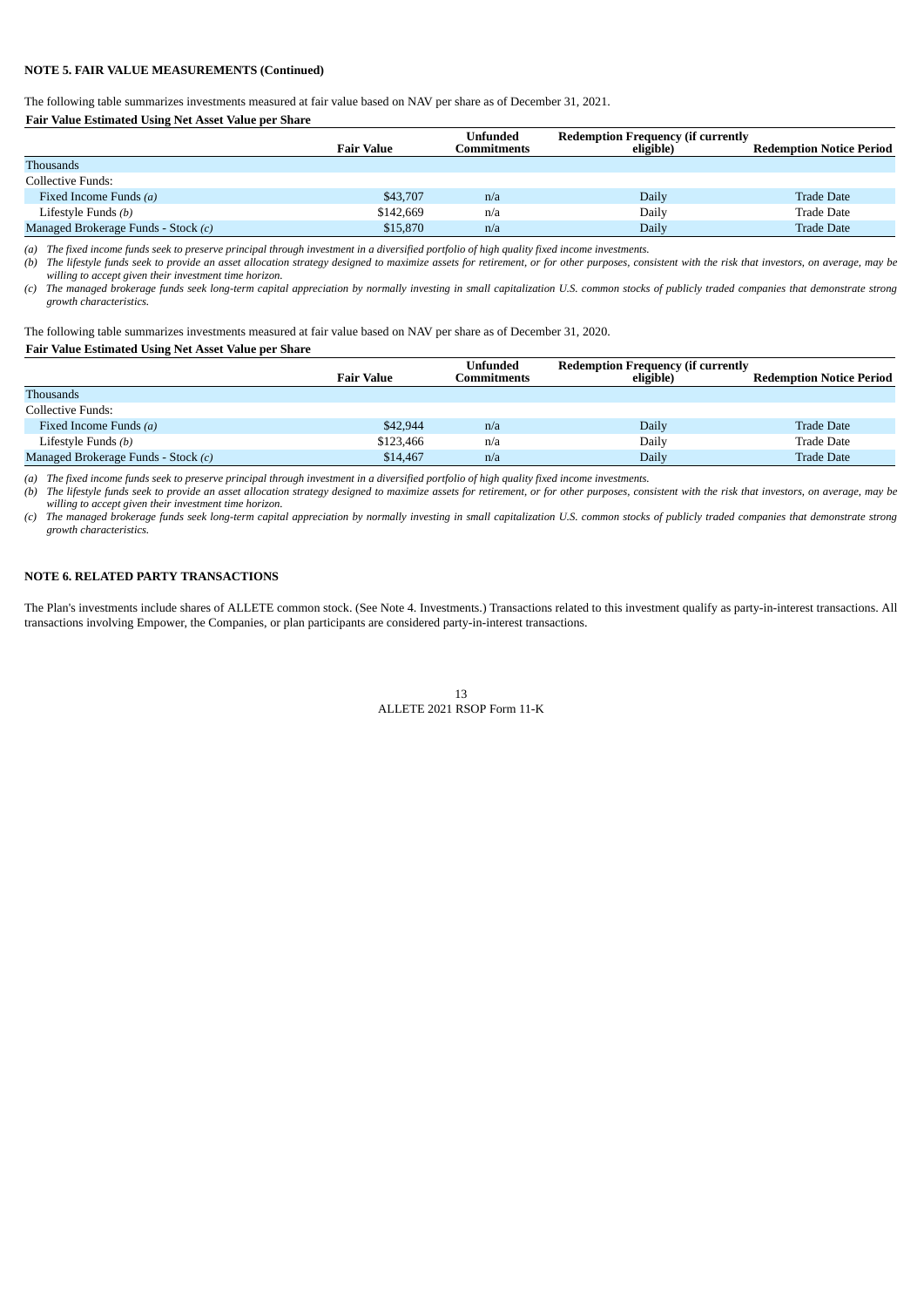## **NOTE 5. FAIR VALUE MEASUREMENTS (Continued)**

The following table summarizes investments measured at fair value based on NAV per share as of December 31, 2021.

## **Fair Value Estimated Using Net Asset Value per Share**

|                                     |                   | Unfunded    | <b>Redemption Frequency (if currently</b> |                                 |
|-------------------------------------|-------------------|-------------|-------------------------------------------|---------------------------------|
|                                     | <b>Fair Value</b> | Commitments | eligible)                                 | <b>Redemption Notice Period</b> |
| <b>Thousands</b>                    |                   |             |                                           |                                 |
| Collective Funds:                   |                   |             |                                           |                                 |
| Fixed Income Funds (a)              | \$43,707          | n/a         | Daily                                     | <b>Trade Date</b>               |
| Lifestyle Funds (b)                 | \$142,669         | n/a         | Daily                                     | <b>Trade Date</b>               |
| Managed Brokerage Funds - Stock (c) | \$15,870          | n/a         | Dailv                                     | <b>Trade Date</b>               |

*(a) The fixed income funds seek to preserve principal through investment in a diversified portfolio of high quality fixed income investments.*

*(b) The lifestyle funds seek to provide an asset allocation strategy designed to maximize assets for retirement, or for other purposes, consistent with the risk that investors, on average, may be willing to accept given their investment time horizon.*

*(c) The managed brokerage funds seek long-term capital appreciation by normally investing in small capitalization U.S. common stocks of publicly traded companies that demonstrate strong growth characteristics.*

The following table summarizes investments measured at fair value based on NAV per share as of December 31, 2020.

## **Fair Value Estimated Using Net Asset Value per Share**

|                                     | <b>Fair Value</b> | <b>Unfunded</b><br>Commitments | <b>Redemption Frequency (if currently</b><br>eligible) | <b>Redemption Notice Period</b> |
|-------------------------------------|-------------------|--------------------------------|--------------------------------------------------------|---------------------------------|
| <b>Thousands</b>                    |                   |                                |                                                        |                                 |
| Collective Funds:                   |                   |                                |                                                        |                                 |
| Fixed Income Funds (a)              | \$42,944          | n/a                            | Daily                                                  | <b>Trade Date</b>               |
| Lifestyle Funds (b)                 | \$123,466         | n/a                            | Daily                                                  | Trade Date                      |
| Managed Brokerage Funds - Stock (c) | \$14,467          | n/a                            | Daily                                                  | <b>Trade Date</b>               |

*(a) The fixed income funds seek to preserve principal through investment in a diversified portfolio of high quality fixed income investments.*

*(b) The lifestyle funds seek to provide an asset allocation strategy designed to maximize assets for retirement, or for other purposes, consistent with the risk that investors, on average, may be willing to accept given their investment time horizon.*

*(c) The managed brokerage funds seek long-term capital appreciation by normally investing in small capitalization U.S. common stocks of publicly traded companies that demonstrate strong growth characteristics.*

## <span id="page-13-0"></span>**NOTE 6. RELATED PARTY TRANSACTIONS**

<span id="page-13-1"></span>The Plan's investments include shares of ALLETE common stock. (See Note 4. Investments.) Transactions related to this investment qualify as party-in-interest transactions. All transactions involving Empower, the Companies, or plan participants are considered party-in-interest transactions.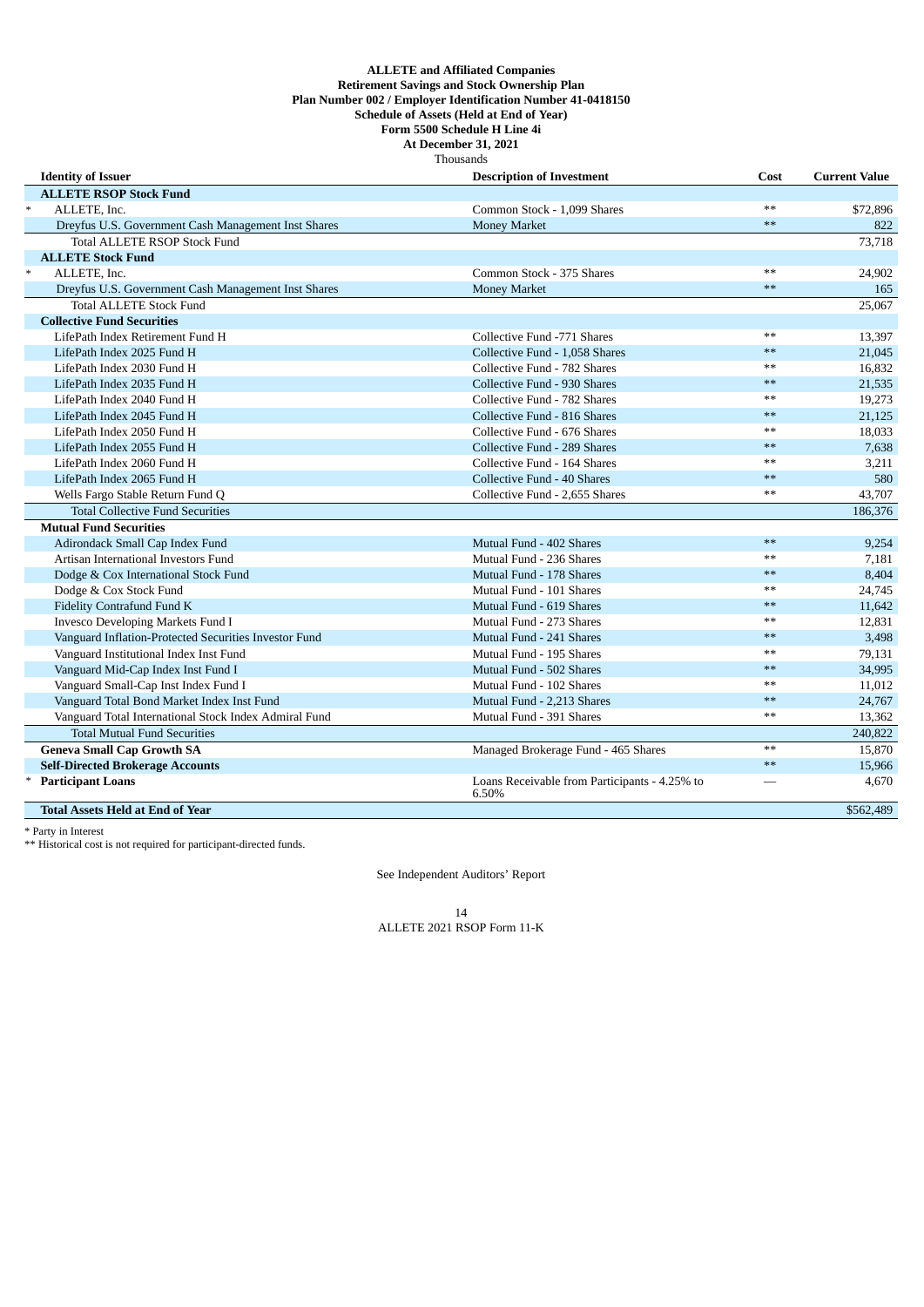#### **ALLETE and Affiliated Companies Retirement Savings and Stock Ownership Plan Plan Number 002 / Employer Identification Number 41-0418150 Schedule of Assets (Held at End of Year) Form 5500 Schedule H Line 4i At December 31, 2021** Thousands

| <b>Identity of Issuer</b>                             | <b>Description of Investment</b>                       | Cost | <b>Current Value</b> |
|-------------------------------------------------------|--------------------------------------------------------|------|----------------------|
| <b>ALLETE RSOP Stock Fund</b>                         |                                                        |      |                      |
| $\ast$<br>ALLETE, Inc.                                | Common Stock - 1,099 Shares                            | $**$ | \$72,896             |
| Dreyfus U.S. Government Cash Management Inst Shares   | <b>Money Market</b>                                    | $**$ | 822                  |
| <b>Total ALLETE RSOP Stock Fund</b>                   |                                                        |      | 73,718               |
| <b>ALLETE Stock Fund</b>                              |                                                        |      |                      |
| $\ast$<br>ALLETE, Inc.                                | Common Stock - 375 Shares                              | $**$ | 24,902               |
| Dreyfus U.S. Government Cash Management Inst Shares   | <b>Money Market</b>                                    | $**$ | 165                  |
| <b>Total ALLETE Stock Fund</b>                        |                                                        |      | 25,067               |
| <b>Collective Fund Securities</b>                     |                                                        |      |                      |
| LifePath Index Retirement Fund H                      | Collective Fund -771 Shares                            | **   | 13,397               |
| LifePath Index 2025 Fund H                            | Collective Fund - 1.058 Shares                         | $**$ | 21,045               |
| LifePath Index 2030 Fund H                            | Collective Fund - 782 Shares                           | $**$ | 16,832               |
| LifePath Index 2035 Fund H                            | Collective Fund - 930 Shares                           | $**$ | 21,535               |
| LifePath Index 2040 Fund H                            | Collective Fund - 782 Shares                           | $**$ | 19,273               |
| LifePath Index 2045 Fund H                            | Collective Fund - 816 Shares                           | $**$ | 21,125               |
| LifePath Index 2050 Fund H                            | Collective Fund - 676 Shares                           | $**$ | 18,033               |
| LifePath Index 2055 Fund H                            | Collective Fund - 289 Shares                           | $**$ | 7,638                |
| LifePath Index 2060 Fund H                            | Collective Fund - 164 Shares                           | $**$ | 3,211                |
| LifePath Index 2065 Fund H                            | Collective Fund - 40 Shares                            | $**$ | 580                  |
| Wells Fargo Stable Return Fund Q                      | Collective Fund - 2,655 Shares                         | $**$ | 43,707               |
| <b>Total Collective Fund Securities</b>               |                                                        |      | 186,376              |
| <b>Mutual Fund Securities</b>                         |                                                        |      |                      |
| Adirondack Small Cap Index Fund                       | Mutual Fund - 402 Shares                               | $**$ | 9,254                |
| Artisan International Investors Fund                  | Mutual Fund - 236 Shares                               | $**$ | 7,181                |
| Dodge & Cox International Stock Fund                  | Mutual Fund - 178 Shares                               | $**$ | 8,404                |
| Dodge & Cox Stock Fund                                | Mutual Fund - 101 Shares                               | $**$ | 24,745               |
| Fidelity Contrafund Fund K                            | Mutual Fund - 619 Shares                               | $**$ | 11,642               |
| Invesco Developing Markets Fund I                     | Mutual Fund - 273 Shares                               | $**$ | 12,831               |
| Vanguard Inflation-Protected Securities Investor Fund | Mutual Fund - 241 Shares                               | $**$ | 3,498                |
| Vanguard Institutional Index Inst Fund                | Mutual Fund - 195 Shares                               | $**$ | 79,131               |
| Vanguard Mid-Cap Index Inst Fund I                    | Mutual Fund - 502 Shares                               | $**$ | 34,995               |
| Vanguard Small-Cap Inst Index Fund I                  | Mutual Fund - 102 Shares                               | $**$ | 11,012               |
| Vanguard Total Bond Market Index Inst Fund            | Mutual Fund - 2,213 Shares                             | $**$ | 24,767               |
| Vanguard Total International Stock Index Admiral Fund | Mutual Fund - 391 Shares                               | $**$ | 13,362               |
| <b>Total Mutual Fund Securities</b>                   |                                                        |      | 240,822              |
| <b>Geneva Small Cap Growth SA</b>                     | Managed Brokerage Fund - 465 Shares                    | $**$ | 15,870               |
| <b>Self-Directed Brokerage Accounts</b>               |                                                        | $**$ | 15,966               |
| <b>Participant Loans</b>                              | Loans Receivable from Participants - 4.25% to<br>6.50% |      | 4,670                |
| <b>Total Assets Held at End of Year</b>               |                                                        |      | \$562,489            |

\* Party in Interest

<span id="page-14-0"></span>\*\* Historical cost is not required for participant-directed funds.

See Independent Auditors' Report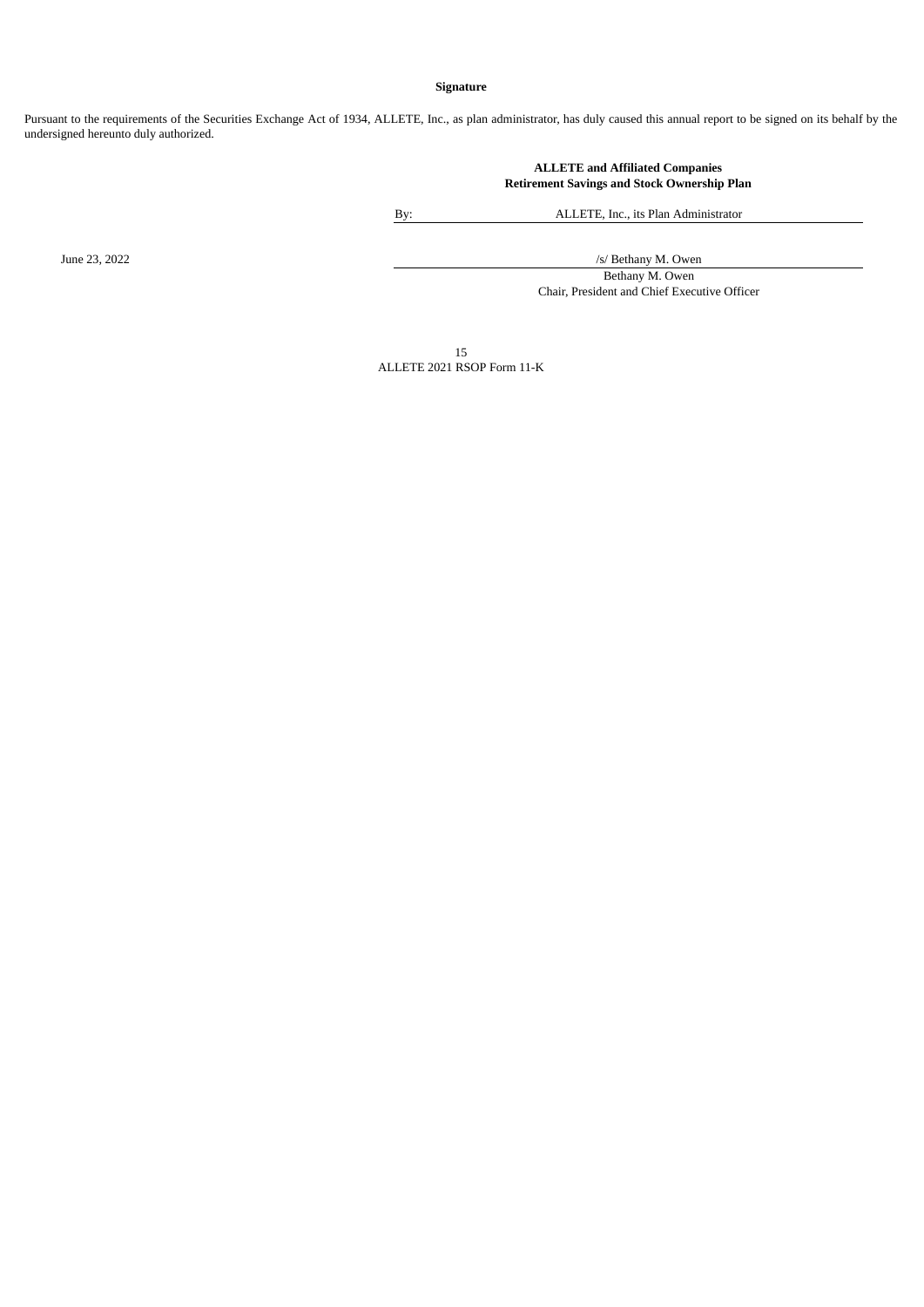## **Signature**

Pursuant to the requirements of the Securities Exchange Act of 1934, ALLETE, Inc., as plan administrator, has duly caused this annual report to be signed on its behalf by the undersigned hereunto duly authorized.

> **ALLETE and Affiliated Companies Retirement Savings and Stock Ownership Plan**

By: ALLETE, Inc., its Plan Administrator

June 23, 2022 /s/ Bethany M. Owen

Bethany M. Owen Chair, President and Chief Executive Officer